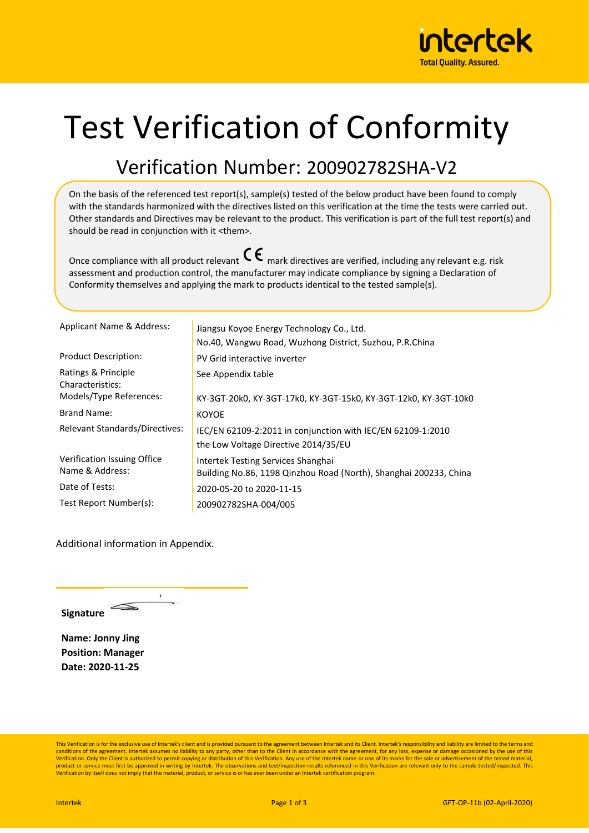

## Test Verification of Conformity

## Verification Number: 200902782SHA-V2

On the basis of the referenced test report(s), sample(s) tested of the below product have been found to comply with the standards harmonized with the directives listed on this verification at the time the tests were carried out. Other standards and Directives may be relevant to the product. This verification is part of the full test report(s) and should be read in conjunction with it <them>.

Once compliance with all product relevant  $\mathsf{C}\boldsymbol{\epsilon}$  mark directives are verified, including any relevant e.g. risk assessment and production control, the manufacturer may indicate compliance by signing a Declaration of Conformity themselves and applying the mark to products identical to the tested sample(s).

| Applicant Name & Address:                      | Jiangsu Koyoe Energy Technology Co., Ltd.<br>No.40, Wangwu Road, Wuzhong District, Suzhou, P.R.China    |
|------------------------------------------------|---------------------------------------------------------------------------------------------------------|
| <b>Product Description:</b>                    | PV Grid interactive inverter                                                                            |
| Ratings & Principle<br>Characteristics:        | See Appendix table                                                                                      |
| Models/Type References:                        | KY-3GT-20k0, KY-3GT-17k0, KY-3GT-15k0, KY-3GT-12k0, KY-3GT-10k0                                         |
| Brand Name:                                    | <b>KOYOE</b>                                                                                            |
| Relevant Standards/Directives:                 | IEC/EN 62109-2:2011 in conjunction with IEC/EN 62109-1:2010<br>the Low Voltage Directive 2014/35/EU     |
| Verification Issuing Office<br>Name & Address: | Intertek Testing Services Shanghai<br>Building No.86, 1198 Qinzhou Road (North), Shanghai 200233, China |
| Date of Tests:                                 | 2020-05-20 to 2020-11-15                                                                                |
| Test Report Number(s):                         | 200902782SHA-004/005                                                                                    |

Additional information in Appendix.

 $\cdot$ **Signature**

**Name: Jonny Jing Position: Manager Date: 2020-11-25**

This Verification is for the exclusive use of Intertek's client and is provided pursuant to the agreement between Intertek and its Client. Intertek's responsibility and liability are limited to the terms and conditions of the agreement. Intertek assumes no liability to any party, other than to the Client in accordance with the agreement, for any loss, expense or damage occasioned by the use of this<br>Verification. Only the Clien product or service must first be approved in writing by Intertek. The observations and test/inspection results referenced in this Verification are relevant only to the sample tested/inspected. This Verification by itself does not imply that the material, product, or service is or has ever been under an Intertek certification program.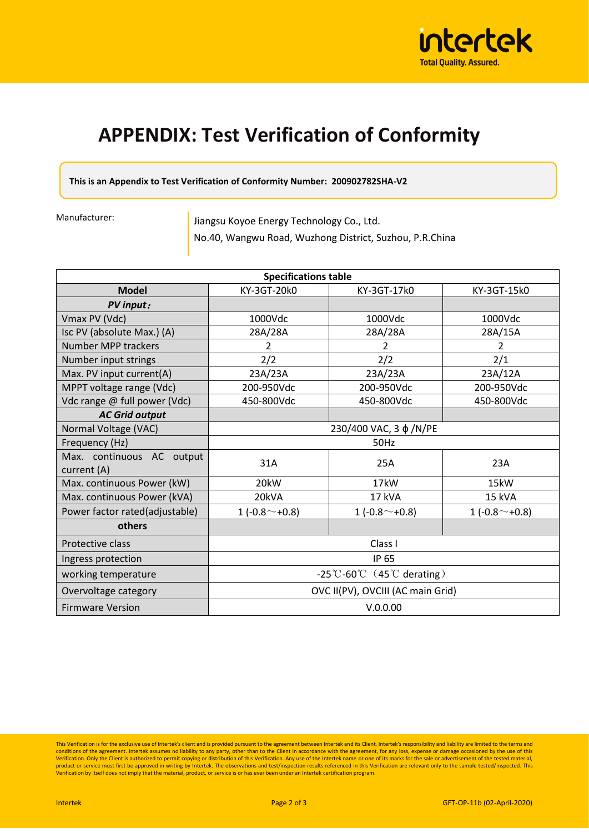

## **APPENDIX: Test Verification of Conformity**

**This is an Appendix to Test Verification of Conformity Number: 200902782SHA-V2**

Manufacturer:

Jiangsu Koyoe Energy Technology Co., Ltd. No.40, Wangwu Road, Wuzhong District, Suzhou, P.R.China

| <b>Specifications table</b>              |                                                            |                          |                 |  |
|------------------------------------------|------------------------------------------------------------|--------------------------|-----------------|--|
| <b>Model</b>                             | KY-3GT-20k0                                                | KY-3GT-17k0              | KY-3GT-15k0     |  |
| <b>PV</b> input:                         |                                                            |                          |                 |  |
| Vmax PV (Vdc)                            | 1000Vdc                                                    | 1000Vdc                  | 1000Vdc         |  |
| Isc PV (absolute Max.) (A)               | 28A/28A                                                    | 28A/28A                  | 28A/15A         |  |
| Number MPP trackers                      | $\overline{\mathcal{L}}$                                   | $\overline{\mathcal{L}}$ | $\overline{2}$  |  |
| Number input strings                     | 2/2                                                        | 2/2                      | 2/1             |  |
| Max. PV input current(A)                 | 23A/23A                                                    | 23A/23A                  | 23A/12A         |  |
| MPPT voltage range (Vdc)                 | 200-950Vdc                                                 | 200-950Vdc               | 200-950Vdc      |  |
| Vdc range @ full power (Vdc)             | 450-800Vdc                                                 | 450-800Vdc               | 450-800Vdc      |  |
| <b>AC Grid output</b>                    |                                                            |                          |                 |  |
| Normal Voltage (VAC)                     | 230/400 VAC, 3 φ/N/PE                                      |                          |                 |  |
| Frequency (Hz)                           | 50Hz                                                       |                          |                 |  |
| Max. continuous AC output<br>current (A) | 31A                                                        | 25A                      | 23A             |  |
| Max. continuous Power (kW)               | 20 <sub>k</sub> W                                          | 17 <sub>k</sub> W        | 15kW            |  |
| Max. continuous Power (kVA)              | 20kVA                                                      | 17 kVA                   | 15 kVA          |  |
| Power factor rated(adjustable)           | 1 $(-0.8^{\sim}+0.8)$                                      | 1 $(-0.8^{\sim}+0.8)$    | 1 $(-0.8~+0.8)$ |  |
| others                                   |                                                            |                          |                 |  |
| Protective class                         | Class I                                                    |                          |                 |  |
| Ingress protection                       | IP 65                                                      |                          |                 |  |
| working temperature                      | $-25^{\circ}$ C-60 $^{\circ}$ C (45 $^{\circ}$ C derating) |                          |                 |  |
| Overvoltage category                     | OVC II(PV), OVCIII (AC main Grid)                          |                          |                 |  |
| <b>Firmware Version</b>                  | V.0.0.00                                                   |                          |                 |  |

This Verification is for the exclusive use of Intertek's client and is provided pursuant to the agreement between Intertek and its Client. Intertek's responsibility and liability are limited to the terms and intert to the product or service must first be approved in writing by Intertek. The observations and test/inspection results referenced in this Verification are relevant only to the sample tested/inspected. This<br>Verification by itself d